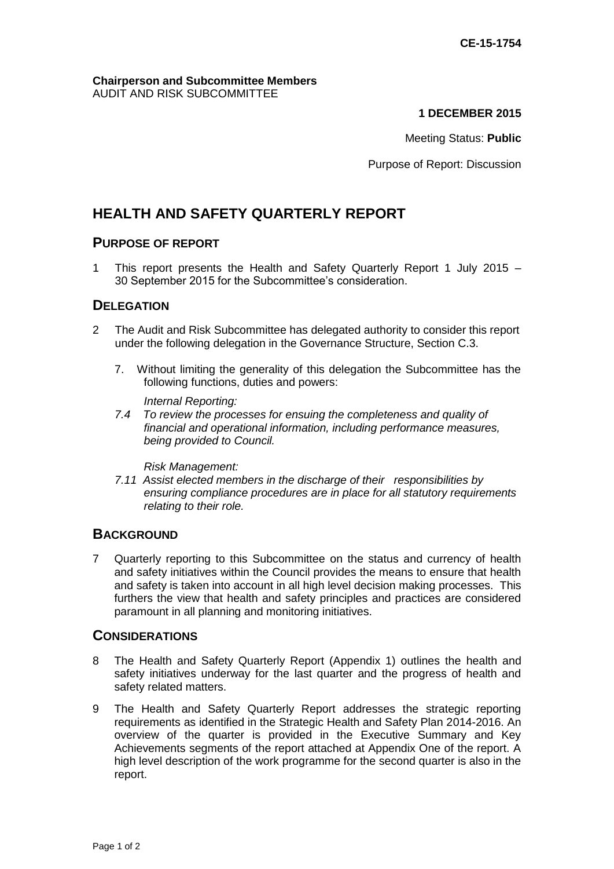#### **Chairperson and Subcommittee Members** AUDIT AND RISK SUBCOMMITTEE

### **1 DECEMBER 2015**

Meeting Status: **Public**

Purpose of Report: Discussion

# **HEALTH AND SAFETY QUARTERLY REPORT**

### **PURPOSE OF REPORT**

1 This report presents the Health and Safety Quarterly Report 1 July 2015 – 30 September 2015 for the Subcommittee's consideration.

### **DELEGATION**

- 2 The Audit and Risk Subcommittee has delegated authority to consider this report under the following delegation in the Governance Structure, Section C.3.
	- 7. Without limiting the generality of this delegation the Subcommittee has the following functions, duties and powers:

*Internal Reporting:*

*7.4 To review the processes for ensuing the completeness and quality of financial and operational information, including performance measures, being provided to Council.*

*Risk Management:*

*7.11 Assist elected members in the discharge of their responsibilities by ensuring compliance procedures are in place for all statutory requirements relating to their role.* 

### **BACKGROUND**

7 Quarterly reporting to this Subcommittee on the status and currency of health and safety initiatives within the Council provides the means to ensure that health and safety is taken into account in all high level decision making processes. This furthers the view that health and safety principles and practices are considered paramount in all planning and monitoring initiatives.

#### **CONSIDERATIONS**

- 8 The Health and Safety Quarterly Report (Appendix 1) outlines the health and safety initiatives underway for the last quarter and the progress of health and safety related matters.
- 9 The Health and Safety Quarterly Report addresses the strategic reporting requirements as identified in the Strategic Health and Safety Plan 2014-2016. An overview of the quarter is provided in the Executive Summary and Key Achievements segments of the report attached at Appendix One of the report. A high level description of the work programme for the second quarter is also in the report.